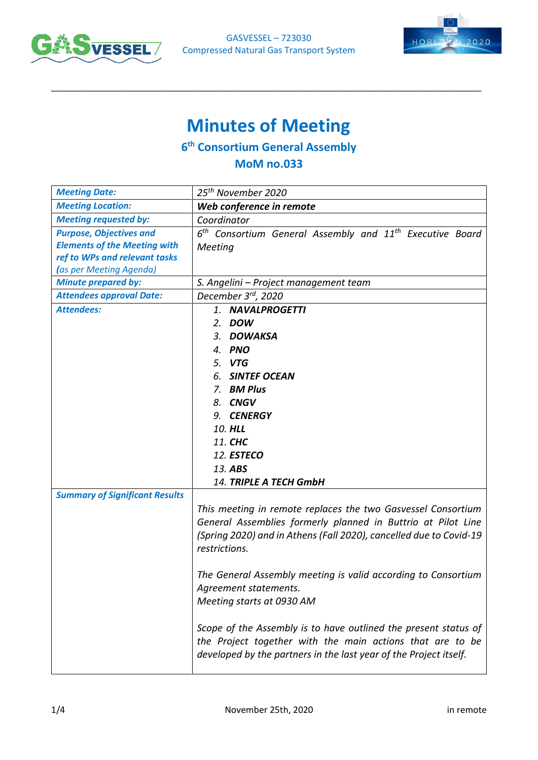



# **Minutes of Meeting**

\_\_\_\_\_\_\_\_\_\_\_\_\_\_\_\_\_\_\_\_\_\_\_\_\_\_\_\_\_\_\_\_\_\_\_\_\_\_\_\_\_\_\_\_\_\_\_\_\_\_\_\_\_\_\_\_\_\_\_\_\_\_\_\_\_\_\_\_\_\_\_\_\_\_\_\_\_\_\_\_\_\_\_\_\_\_\_

## **6 th Consortium General Assembly**

### **MoM no.033**

| <b>Meeting Date:</b>                                                                                                              | 25 <sup>th</sup> November 2020                                                                                                                                                                                                                                                                                                             |  |  |
|-----------------------------------------------------------------------------------------------------------------------------------|--------------------------------------------------------------------------------------------------------------------------------------------------------------------------------------------------------------------------------------------------------------------------------------------------------------------------------------------|--|--|
| <b>Meeting Location:</b>                                                                                                          | Web conference in remote                                                                                                                                                                                                                                                                                                                   |  |  |
| <b>Meeting requested by:</b>                                                                                                      | Coordinator                                                                                                                                                                                                                                                                                                                                |  |  |
| <b>Purpose, Objectives and</b><br><b>Elements of the Meeting with</b><br>ref to WPs and relevant tasks<br>(as per Meeting Agenda) | $6th$ Consortium General Assembly and $11th$ Executive Board<br>Meeting                                                                                                                                                                                                                                                                    |  |  |
| <b>Minute prepared by:</b>                                                                                                        | S. Angelini - Project management team                                                                                                                                                                                                                                                                                                      |  |  |
| <b>Attendees approval Date:</b>                                                                                                   | December 3 <sup>rd</sup> , 2020                                                                                                                                                                                                                                                                                                            |  |  |
| <b>Attendees:</b>                                                                                                                 | 1. NAVALPROGETTI<br>2. DOW<br>3. DOWAKSA<br>4. PNO<br>5. VTG<br>6. SINTEF OCEAN<br>7. BM Plus<br>8. CNGV<br>9. CENERGY<br>10. HLL<br>11. CHC<br>12. ESTECO<br>13. ABS                                                                                                                                                                      |  |  |
|                                                                                                                                   | 14. TRIPLE A TECH GmbH                                                                                                                                                                                                                                                                                                                     |  |  |
| <b>Summary of Significant Results</b>                                                                                             | This meeting in remote replaces the two Gasvessel Consortium<br>General Assemblies formerly planned in Buttrio at Pilot Line<br>(Spring 2020) and in Athens (Fall 2020), cancelled due to Covid-19<br>restrictions.<br>The General Assembly meeting is valid according to Consortium<br>Agreement statements.<br>Meeting starts at 0930 AM |  |  |
|                                                                                                                                   | Scope of the Assembly is to have outlined the present status of<br>the Project together with the main actions that are to be<br>developed by the partners in the last year of the Project itself.                                                                                                                                          |  |  |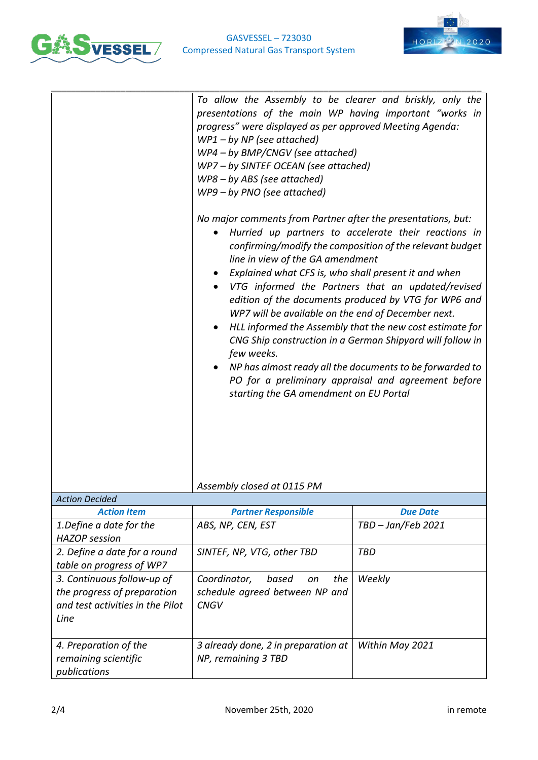



|                                                                                                       | To allow the Assembly to be clearer and briskly, only the<br>presentations of the main WP having important "works in<br>progress" were displayed as per approved Meeting Agenda:<br>$WP1 - by NP$ (see attached)<br>WP4 - by BMP/CNGV (see attached)<br>WP7 - by SINTEF OCEAN (see attached)<br>WP8-by ABS (see attached)<br>WP9 - by PNO (see attached)<br>No major comments from Partner after the presentations, but:<br>Hurried up partners to accelerate their reactions in<br>$\bullet$<br>confirming/modify the composition of the relevant budget<br>line in view of the GA amendment<br>Explained what CFS is, who shall present it and when<br>VTG informed the Partners that an updated/revised<br>edition of the documents produced by VTG for WP6 and<br>WP7 will be available on the end of December next.<br>HLL informed the Assembly that the new cost estimate for<br>CNG Ship construction in a German Shipyard will follow in<br>few weeks.<br>NP has almost ready all the documents to be forwarded to<br>PO for a preliminary appraisal and agreement before<br>starting the GA amendment on EU Portal |                    |
|-------------------------------------------------------------------------------------------------------|------------------------------------------------------------------------------------------------------------------------------------------------------------------------------------------------------------------------------------------------------------------------------------------------------------------------------------------------------------------------------------------------------------------------------------------------------------------------------------------------------------------------------------------------------------------------------------------------------------------------------------------------------------------------------------------------------------------------------------------------------------------------------------------------------------------------------------------------------------------------------------------------------------------------------------------------------------------------------------------------------------------------------------------------------------------------------------------------------------------------------|--------------------|
|                                                                                                       | Assembly closed at 0115 PM                                                                                                                                                                                                                                                                                                                                                                                                                                                                                                                                                                                                                                                                                                                                                                                                                                                                                                                                                                                                                                                                                                   |                    |
| <b>Action Decided</b>                                                                                 |                                                                                                                                                                                                                                                                                                                                                                                                                                                                                                                                                                                                                                                                                                                                                                                                                                                                                                                                                                                                                                                                                                                              |                    |
| <b>Action Item</b>                                                                                    | <b>Partner Responsible</b>                                                                                                                                                                                                                                                                                                                                                                                                                                                                                                                                                                                                                                                                                                                                                                                                                                                                                                                                                                                                                                                                                                   | <b>Due Date</b>    |
| 1. Define a date for the<br><b>HAZOP</b> session                                                      | ABS, NP, CEN, EST                                                                                                                                                                                                                                                                                                                                                                                                                                                                                                                                                                                                                                                                                                                                                                                                                                                                                                                                                                                                                                                                                                            | TBD - Jan/Feb 2021 |
| 2. Define a date for a round<br>table on progress of WP7                                              | SINTEF, NP, VTG, other TBD                                                                                                                                                                                                                                                                                                                                                                                                                                                                                                                                                                                                                                                                                                                                                                                                                                                                                                                                                                                                                                                                                                   | <b>TBD</b>         |
| 3. Continuous follow-up of<br>the progress of preparation<br>and test activities in the Pilot<br>Line | Coordinator,<br>based<br>the<br>on<br>schedule agreed between NP and<br><b>CNGV</b>                                                                                                                                                                                                                                                                                                                                                                                                                                                                                                                                                                                                                                                                                                                                                                                                                                                                                                                                                                                                                                          | Weekly             |
| 4. Preparation of the<br>remaining scientific<br>publications                                         | 3 already done, 2 in preparation at<br>NP, remaining 3 TBD                                                                                                                                                                                                                                                                                                                                                                                                                                                                                                                                                                                                                                                                                                                                                                                                                                                                                                                                                                                                                                                                   | Within May 2021    |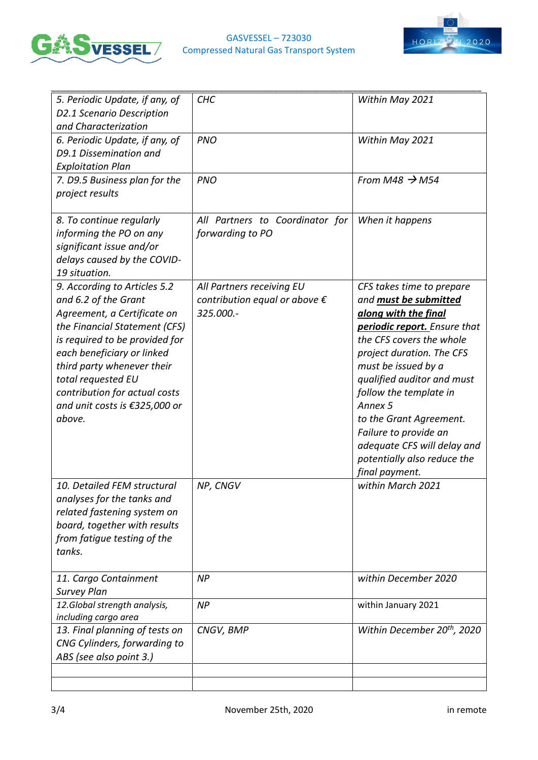

#### GASVESSEL – 723030 Compressed Natural Gas Transport System



| 5. Periodic Update, if any, of<br>D2.1 Scenario Description<br>and Characterization                                                                                                                                                                                                                                  | <b>CHC</b>                                                                        | Within May 2021                                                                                                                                                                                                                                                                                                                                                                                          |
|----------------------------------------------------------------------------------------------------------------------------------------------------------------------------------------------------------------------------------------------------------------------------------------------------------------------|-----------------------------------------------------------------------------------|----------------------------------------------------------------------------------------------------------------------------------------------------------------------------------------------------------------------------------------------------------------------------------------------------------------------------------------------------------------------------------------------------------|
| 6. Periodic Update, if any, of<br>D9.1 Dissemination and<br><b>Exploitation Plan</b>                                                                                                                                                                                                                                 | <b>PNO</b>                                                                        | Within May 2021                                                                                                                                                                                                                                                                                                                                                                                          |
| 7. D9.5 Business plan for the<br>project results                                                                                                                                                                                                                                                                     | <b>PNO</b>                                                                        | From M48 $\rightarrow$ M54                                                                                                                                                                                                                                                                                                                                                                               |
| 8. To continue regularly<br>informing the PO on any<br>significant issue and/or<br>delays caused by the COVID-<br>19 situation.                                                                                                                                                                                      | All Partners to Coordinator for<br>forwarding to PO                               | When it happens                                                                                                                                                                                                                                                                                                                                                                                          |
| 9. According to Articles 5.2<br>and 6.2 of the Grant<br>Agreement, a Certificate on<br>the Financial Statement (CFS)<br>is required to be provided for<br>each beneficiary or linked<br>third party whenever their<br>total requested EU<br>contribution for actual costs<br>and unit costs is €325,000 or<br>above. | All Partners receiving EU<br>contribution equal or above $\epsilon$<br>325.000 .- | CFS takes time to prepare<br>and <b>must be submitted</b><br>along with the final<br>periodic report. Ensure that<br>the CFS covers the whole<br>project duration. The CFS<br>must be issued by a<br>qualified auditor and must<br>follow the template in<br>Annex 5<br>to the Grant Agreement.<br>Failure to provide an<br>adequate CFS will delay and<br>potentially also reduce the<br>final payment. |
| 10. Detailed FEM structural<br>analyses for the tanks and<br>related fastening system on<br>board, together with results<br>from fatigue testing of the<br>tanks.                                                                                                                                                    | NP, CNGV                                                                          | within March 2021                                                                                                                                                                                                                                                                                                                                                                                        |
| 11. Cargo Containment<br><b>Survey Plan</b>                                                                                                                                                                                                                                                                          | <b>NP</b>                                                                         | within December 2020                                                                                                                                                                                                                                                                                                                                                                                     |
| 12.Global strength analysis,<br>including cargo area                                                                                                                                                                                                                                                                 | <b>NP</b>                                                                         | within January 2021                                                                                                                                                                                                                                                                                                                                                                                      |
| 13. Final planning of tests on<br>CNG Cylinders, forwarding to<br>ABS (see also point 3.)                                                                                                                                                                                                                            | CNGV, BMP                                                                         | Within December 20 <sup>th</sup> , 2020                                                                                                                                                                                                                                                                                                                                                                  |
|                                                                                                                                                                                                                                                                                                                      |                                                                                   |                                                                                                                                                                                                                                                                                                                                                                                                          |